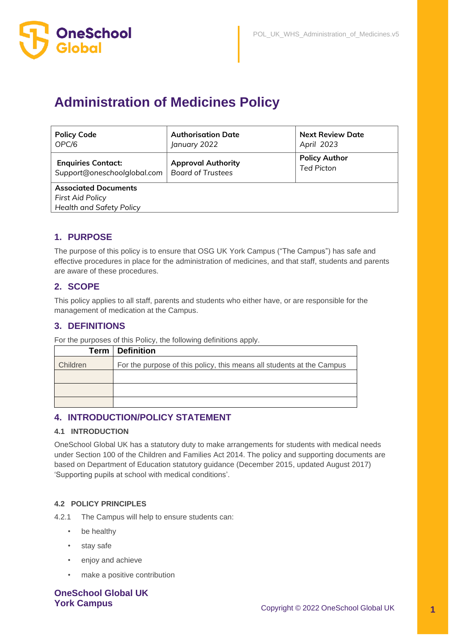

# **Administration of Medicines Policy**

| <b>Policy Code</b>                                  | <b>Authorisation Date</b> | <b>Next Review Date</b> |  |  |  |
|-----------------------------------------------------|---------------------------|-------------------------|--|--|--|
| OPC/6                                               | January 2022              | April 2023              |  |  |  |
| <b>Enquiries Contact:</b>                           | <b>Approval Authority</b> | <b>Policy Author</b>    |  |  |  |
| Support@oneschoolglobal.com                         | <b>Board of Trustees</b>  | <b>Ted Picton</b>       |  |  |  |
| <b>Associated Documents</b>                         |                           |                         |  |  |  |
| First Aid Policy<br><b>Health and Safety Policy</b> |                           |                         |  |  |  |

### **1. PURPOSE**

The purpose of this policy is to ensure that OSG UK York Campus ("The Campus") has safe and effective procedures in place for the administration of medicines, and that staff, students and parents are aware of these procedures.

### **2. SCOPE**

This policy applies to all staff, parents and students who either have, or are responsible for the management of medication at the Campus.

### **3. DEFINITIONS**

For the purposes of this Policy, the following definitions apply.

| Term     | <b>Definition</b>                                                     |
|----------|-----------------------------------------------------------------------|
| Children | For the purpose of this policy, this means all students at the Campus |
|          |                                                                       |
|          |                                                                       |
|          |                                                                       |

#### **4. INTRODUCTION/POLICY STATEMENT**

#### **4.1 INTRODUCTION**

OneSchool Global UK has a statutory duty to make arrangements for students with medical needs under Section 100 of the Children and Families Act 2014. The policy and supporting documents are based on Department of Education statutory guidance (December 2015, updated August 2017) 'Supporting pupils at school with medical conditions'.

#### **4.2 POLICY PRINCIPLES**

4.2.1 The Campus will help to ensure students can:

- be healthy
- stay safe
- enjoy and achieve
- make a positive contribution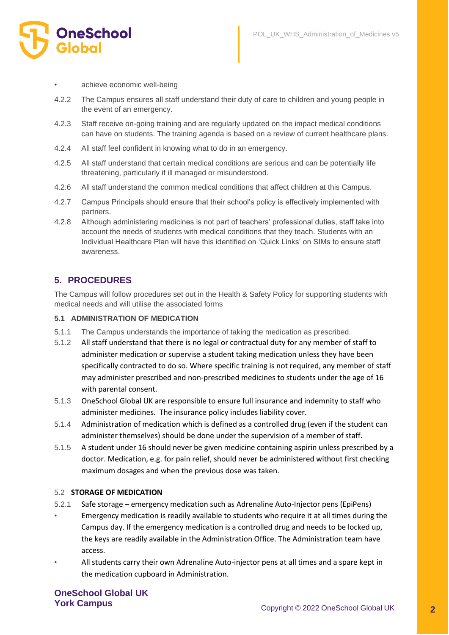

achieve economic well-being

- 4.2.2 The Campus ensures all staff understand their duty of care to children and young people in the event of an emergency.
- 4.2.3 Staff receive on-going training and are regularly updated on the impact medical conditions can have on students. The training agenda is based on a review of current healthcare plans.
- 4.2.4 All staff feel confident in knowing what to do in an emergency.
- 4.2.5 All staff understand that certain medical conditions are serious and can be potentially life threatening, particularly if ill managed or misunderstood.
- 4.2.6 All staff understand the common medical conditions that affect children at this Campus.
- 4.2.7 Campus Principals should ensure that their school's policy is effectively implemented with partners.
- 4.2.8 Although administering medicines is not part of teachers' professional duties, staff take into account the needs of students with medical conditions that they teach. Students with an Individual Healthcare Plan will have this identified on 'Quick Links' on SIMs to ensure staff awareness.

#### **5. PROCEDURES**

The Campus will follow procedures set out in the Health & Safety Policy for supporting students with medical needs and will utilise the associated forms

#### **5.1 ADMINISTRATION OF MEDICATION**

- 5.1.1 The Campus understands the importance of taking the medication as prescribed.
- 5.1.2 All staff understand that there is no legal or contractual duty for any member of staff to administer medication or supervise a student taking medication unless they have been specifically contracted to do so. Where specific training is not required, any member of staff may administer prescribed and non-prescribed medicines to students under the age of 16 with parental consent.
- 5.1.3 OneSchool Global UK are responsible to ensure full insurance and indemnity to staff who administer medicines. The insurance policy includes liability cover.
- 5.1.4 Administration of medication which is defined as a controlled drug (even if the student can administer themselves) should be done under the supervision of a member of staff.
- 5.1.5 A student under 16 should never be given medicine containing aspirin unless prescribed by a doctor. Medication, e.g. for pain relief, should never be administered without first checking maximum dosages and when the previous dose was taken.

#### 5.2 **STORAGE OF MEDICATION**

- 5.2.1 Safe storage emergency medication such as Adrenaline Auto-Injector pens (EpiPens)
- Emergency medication is readily available to students who require it at all times during the Campus day. If the emergency medication is a controlled drug and needs to be locked up, the keys are readily available in the Administration Office. The Administration team have access.
- All students carry their own Adrenaline Auto-injector pens at all times and a spare kept in the medication cupboard in Administration.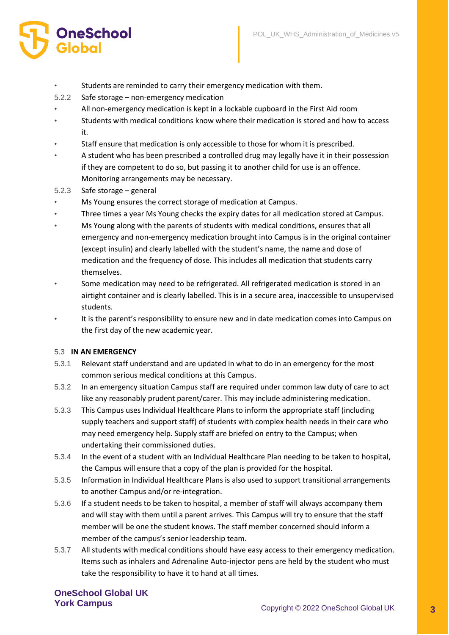- Students are reminded to carry their emergency medication with them.
- 5.2.2 Safe storage non-emergency medication
- All non-emergency medication is kept in a lockable cupboard in the First Aid room
- Students with medical conditions know where their medication is stored and how to access it.
- Staff ensure that medication is only accessible to those for whom it is prescribed.
- A student who has been prescribed a controlled drug may legally have it in their possession if they are competent to do so, but passing it to another child for use is an offence. Monitoring arrangements may be necessary.
- 5.2.3 Safe storage general

**OneSchool** 

- Ms Young ensures the correct storage of medication at Campus.
- Three times a year Ms Young checks the expiry dates for all medication stored at Campus.
- Ms Young along with the parents of students with medical conditions, ensures that all emergency and non-emergency medication brought into Campus is in the original container (except insulin) and clearly labelled with the student's name, the name and dose of medication and the frequency of dose. This includes all medication that students carry themselves.
- Some medication may need to be refrigerated. All refrigerated medication is stored in an airtight container and is clearly labelled. This is in a secure area, inaccessible to unsupervised students.
- It is the parent's responsibility to ensure new and in date medication comes into Campus on the first day of the new academic year.

#### 5.3 **IN AN EMERGENCY**

- 5.3.1 Relevant staff understand and are updated in what to do in an emergency for the most common serious medical conditions at this Campus.
- 5.3.2 In an emergency situation Campus staff are required under common law duty of care to act like any reasonably prudent parent/carer. This may include administering medication.
- 5.3.3 This Campus uses Individual Healthcare Plans to inform the appropriate staff (including supply teachers and support staff) of students with complex health needs in their care who may need emergency help. Supply staff are briefed on entry to the Campus; when undertaking their commissioned duties.
- 5.3.4 In the event of a student with an Individual Healthcare Plan needing to be taken to hospital, the Campus will ensure that a copy of the plan is provided for the hospital.
- 5.3.5 Information in Individual Healthcare Plans is also used to support transitional arrangements to another Campus and/or re-integration.
- 5.3.6 If a student needs to be taken to hospital, a member of staff will always accompany them and will stay with them until a parent arrives. This Campus will try to ensure that the staff member will be one the student knows. The staff member concerned should inform a member of the campus's senior leadership team.
- 5.3.7 All students with medical conditions should have easy access to their emergency medication. Items such as inhalers and Adrenaline Auto-injector pens are held by the student who must take the responsibility to have it to hand at all times.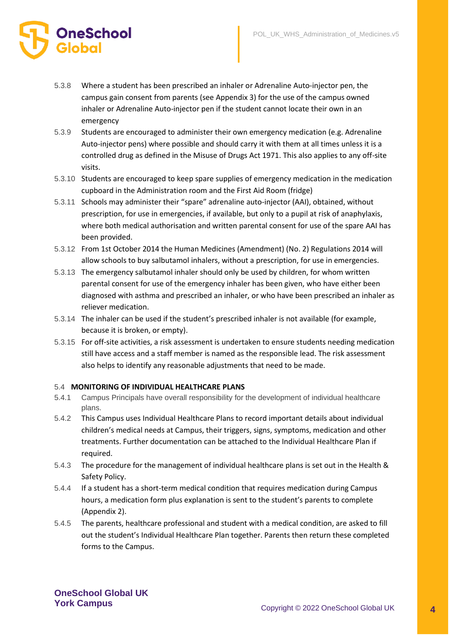

- 5.3.8 Where a student has been prescribed an inhaler or Adrenaline Auto-injector pen, the campus gain consent from parents (see Appendix 3) for the use of the campus owned inhaler or Adrenaline Auto-injector pen if the student cannot locate their own in an emergency
- 5.3.9 Students are encouraged to administer their own emergency medication (e.g. Adrenaline Auto-injector pens) where possible and should carry it with them at all times unless it is a controlled drug as defined in the Misuse of Drugs Act 1971. This also applies to any off-site visits.
- 5.3.10 Students are encouraged to keep spare supplies of emergency medication in the medication cupboard in the Administration room and the First Aid Room (fridge)
- 5.3.11 Schools may administer their "spare" adrenaline auto-injector (AAI), obtained, without prescription, for use in emergencies, if available, but only to a pupil at risk of anaphylaxis, where both medical authorisation and written parental consent for use of the spare AAI has been provided.
- 5.3.12 From 1st October 2014 the Human Medicines (Amendment) (No. 2) Regulations 2014 will allow schools to buy salbutamol inhalers, without a prescription, for use in emergencies.
- 5.3.13 The emergency salbutamol inhaler should only be used by children, for whom written parental consent for use of the emergency inhaler has been given, who have either been diagnosed with asthma and prescribed an inhaler, or who have been prescribed an inhaler as reliever medication.
- 5.3.14 The inhaler can be used if the student's prescribed inhaler is not available (for example, because it is broken, or empty).
- 5.3.15 For off-site activities, a risk assessment is undertaken to ensure students needing medication still have access and a staff member is named as the responsible lead. The risk assessment also helps to identify any reasonable adjustments that need to be made.

#### 5.4 **MONITORING OF INDIVIDUAL HEALTHCARE PLANS**

- 5.4.1 Campus Principals have overall responsibility for the development of individual healthcare plans.
- 5.4.2 This Campus uses Individual Healthcare Plans to record important details about individual children's medical needs at Campus, their triggers, signs, symptoms, medication and other treatments. Further documentation can be attached to the Individual Healthcare Plan if required.
- 5.4.3 The procedure for the management of individual healthcare plans is set out in the Health & Safety Policy.
- 5.4.4 If a student has a short-term medical condition that requires medication during Campus hours, a medication form plus explanation is sent to the student's parents to complete (Appendix 2).
- 5.4.5 The parents, healthcare professional and student with a medical condition, are asked to fill out the student's Individual Healthcare Plan together. Parents then return these completed forms to the Campus.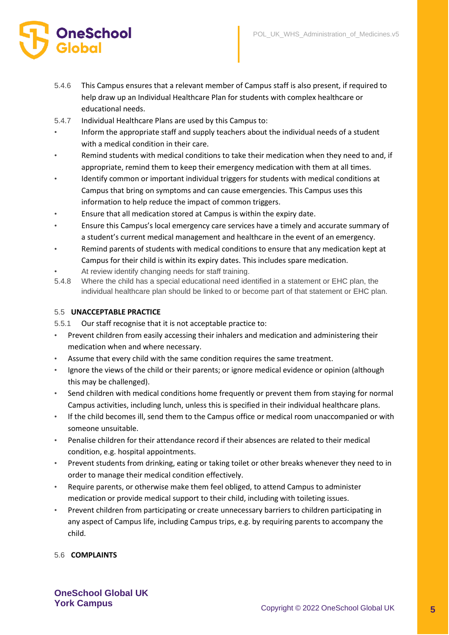

- 5.4.6 This Campus ensures that a relevant member of Campus staff is also present, if required to help draw up an Individual Healthcare Plan for students with complex healthcare or educational needs.
- 5.4.7 Individual Healthcare Plans are used by this Campus to:
- Inform the appropriate staff and supply teachers about the individual needs of a student with a medical condition in their care.
- Remind students with medical conditions to take their medication when they need to and, if appropriate, remind them to keep their emergency medication with them at all times.
- Identify common or important individual triggers for students with medical conditions at Campus that bring on symptoms and can cause emergencies. This Campus uses this information to help reduce the impact of common triggers.
- Ensure that all medication stored at Campus is within the expiry date.
- Ensure this Campus's local emergency care services have a timely and accurate summary of a student's current medical management and healthcare in the event of an emergency.
- Remind parents of students with medical conditions to ensure that any medication kept at Campus for their child is within its expiry dates. This includes spare medication.
- At review identify changing needs for staff training.
- 5.4.8 Where the child has a special educational need identified in a statement or EHC plan, the individual healthcare plan should be linked to or become part of that statement or EHC plan.

#### 5.5 **UNACCEPTABLE PRACTICE**

5.5.1 Our staff recognise that it is not acceptable practice to:

- Prevent children from easily accessing their inhalers and medication and administering their medication when and where necessary.
- Assume that every child with the same condition requires the same treatment.
- Ignore the views of the child or their parents; or ignore medical evidence or opinion (although this may be challenged).
- Send children with medical conditions home frequently or prevent them from staying for normal Campus activities, including lunch, unless this is specified in their individual healthcare plans.
- If the child becomes ill, send them to the Campus office or medical room unaccompanied or with someone unsuitable.
- Penalise children for their attendance record if their absences are related to their medical condition, e.g. hospital appointments.
- Prevent students from drinking, eating or taking toilet or other breaks whenever they need to in order to manage their medical condition effectively.
- Require parents, or otherwise make them feel obliged, to attend Campus to administer medication or provide medical support to their child, including with toileting issues.
- Prevent children from participating or create unnecessary barriers to children participating in any aspect of Campus life, including Campus trips, e.g. by requiring parents to accompany the child.

#### 5.6 **COMPLAINTS**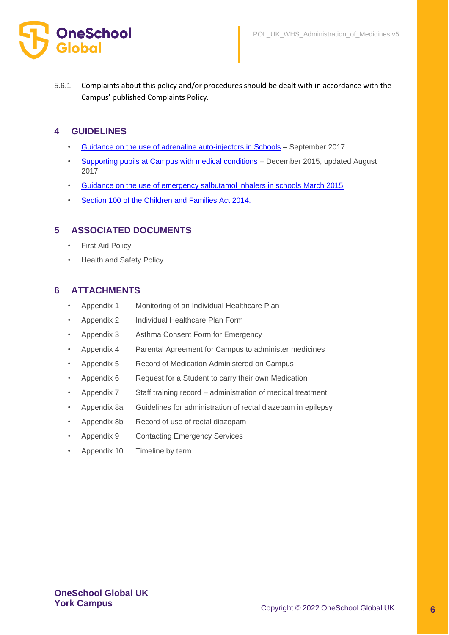

5.6.1 Complaints about this policy and/or procedures should be dealt with in accordance with the Campus' published Complaints Policy.

### **4 GUIDELINES**

- [Guidance on the use of adrenaline auto-injectors in Schools](https://assets.publishing.service.gov.uk/government/uploads/system/uploads/attachment_data/file/645476/Adrenaline_auto_injectors_in_schools.pdf) September 2017
- [Supporting pupils at Campus with medical conditions](https://assets.publishing.service.gov.uk/government/uploads/system/uploads/attachment_data/file/803956/supporting-pupils-at-school-with-medical-conditions.pdf) December 2015, updated August 2017
- [Guidance on the use of emergency salbutamol inhalers in schools March 2015](https://assets.publishing.service.gov.uk/government/uploads/system/uploads/attachment_data/file/416468/emergency_inhalers_in_schools.pdf)
- [Section 100 of the Children and Families Act 2014.](http://www.legislation.gov.uk/ukpga/2014/6/section/100/enacted)

### **5 ASSOCIATED DOCUMENTS**

- **First Aid Policy**
- Health and Safety Policy

### **6 ATTACHMENTS**

- Appendix 1 Monitoring of an Individual Healthcare Plan
- Appendix 2 Individual Healthcare Plan Form
- Appendix 3 Asthma Consent Form for Emergency
- Appendix 4 Parental Agreement for Campus to administer medicines
- Appendix 5 Record of Medication Administered on Campus
- Appendix 6 Request for a Student to carry their own Medication
- Appendix 7 Staff training record administration of medical treatment
- Appendix 8a Guidelines for administration of rectal diazepam in epilepsy
- Appendix 8b Record of use of rectal diazepam
- Appendix 9 Contacting Emergency Services
- Appendix 10 Timeline by term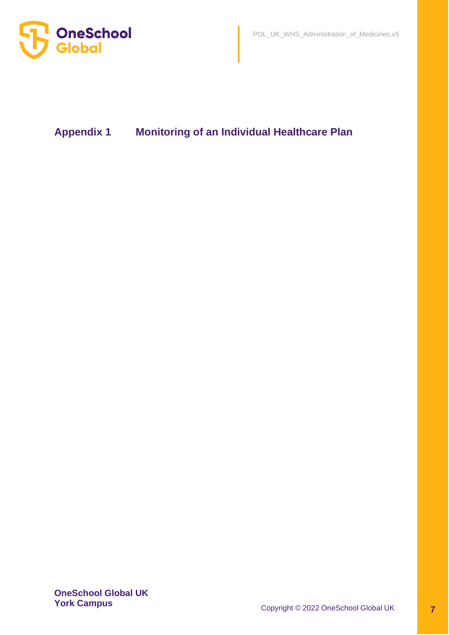



## **Appendix 1 Monitoring of an Individual Healthcare Plan**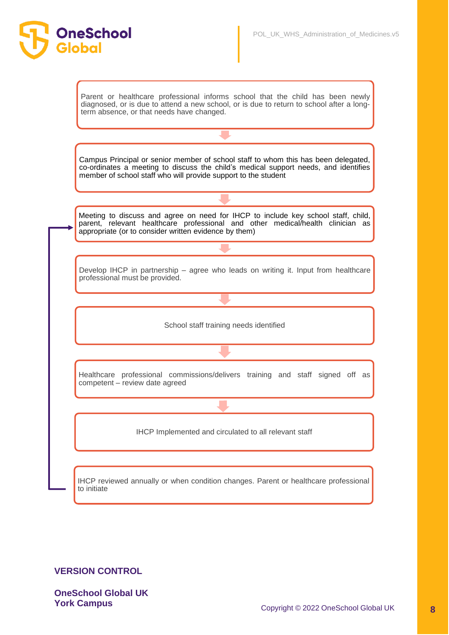

### **VERSION CONTROL**

**OneSchool** 

**OneSchool Global UK**